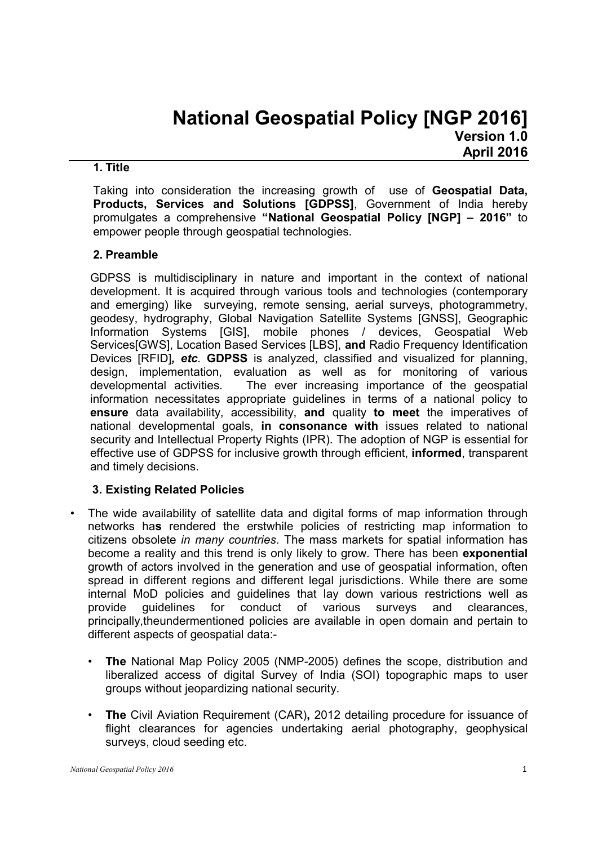### 1. Title

Taking into consideration the increasing growth of use of Geospatial Data, Products, Services and Solutions [GDPSS]. Government of India hereby promulgates a comprehensive "National Geospatial Policy [NGP] – 2016" to empower people through geospatial technologies.

# 2. Preamble

GDPSS is multidisciplinary in nature and important in the context of national development. It is acquired through various tools and technologies (contemporary and emerging) like surveying, remote sensing, aerial surveys, photogrammetry, geodesy, hydrography, Global Navigation Satellite Systems [GNSS], Geographic Information Systems [GIS], mobile phones / devices, Geospatial Web Services[GWS], Location Based Services [LBS], and Radio Frequency Identification Devices [RFID]*, etc*. GDPSS is analyzed, classified and visualized for planning, design, implementation, evaluation as well as for monitoring of various developmental activities. The ever increasing importance of the geospatial information necessitates appropriate guidelines in terms of a national policy to ensure data availability, accessibility, and quality to meet the imperatives of national developmental goals, in consonance with issues related to national security and Intellectual Property Rights (IPR). The adoption of NGP is essential for effective use of GDPSS for inclusive growth through efficient, informed, transparent and timely decisions.

# 3. Existing Related Policies

- The wide availability of satellite data and digital forms of map information through networks has rendered the erstwhile policies of restricting map information to citizens obsolete *in many countries*. The mass markets for spatial information has become a reality and this trend is only likely to grow. There has been exponential growth of actors involved in the generation and use of geospatial information, often spread in different regions and different legal jurisdictions. While there are some internal MoD policies and guidelines that lay down various restrictions well as provide guidelines for conduct of various surveys and clearances, principally,theundermentioned policies are available in open domain and pertain to different aspects of geospatial data:-
	- The National Map Policy 2005 (NMP-2005) defines the scope, distribution and liberalized access of digital Survey of India (SOI) topographic maps to user groups without jeopardizing national security.
	- **The Civil Aviation Requirement (CAR), 2012 detailing procedure for issuance of** flight clearances for agencies undertaking aerial photography, geophysical surveys, cloud seeding etc.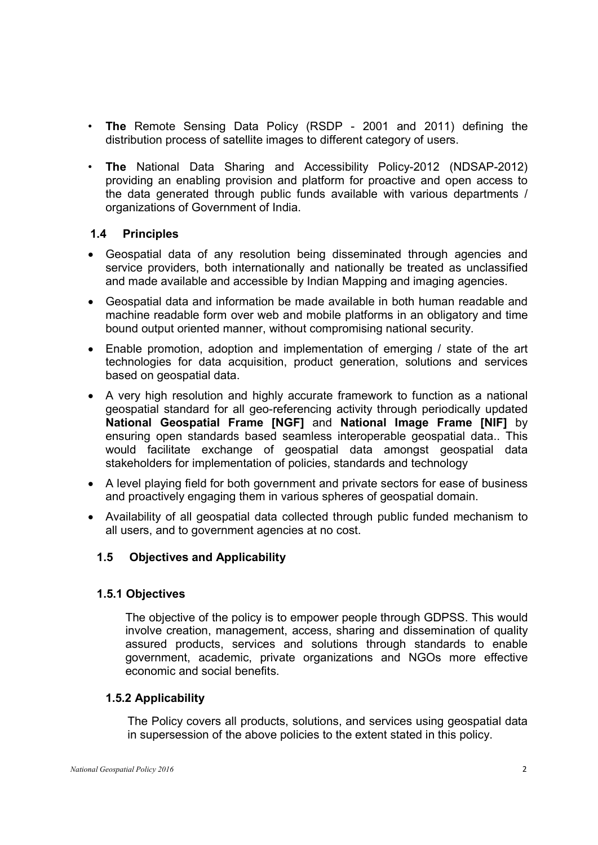- The Remote Sensing Data Policy (RSDP 2001 and 2011) defining the distribution process of satellite images to different category of users.
- The National Data Sharing and Accessibility Policy-2012 (NDSAP-2012) providing an enabling provision and platform for proactive and open access to the data generated through public funds available with various departments / organizations of Government of India.

## 1.4 Principles

- Geospatial data of any resolution being disseminated through agencies and service providers, both internationally and nationally be treated as unclassified and made available and accessible by Indian Mapping and imaging agencies.
- Geospatial data and information be made available in both human readable and machine readable form over web and mobile platforms in an obligatory and time bound output oriented manner, without compromising national security.
- Enable promotion, adoption and implementation of emerging / state of the art technologies for data acquisition, product generation, solutions and services based on geospatial data.
- A very high resolution and highly accurate framework to function as a national geospatial standard for all geo-referencing activity through periodically updated National Geospatial Frame [NGF] and National Image Frame [NIF] by ensuring open standards based seamless interoperable geospatial data.. This would facilitate exchange of geospatial data amongst geospatial data stakeholders for implementation of policies, standards and technology
- A level playing field for both government and private sectors for ease of business and proactively engaging them in various spheres of geospatial domain.
- Availability of all geospatial data collected through public funded mechanism to all users, and to government agencies at no cost.

# 1.5 Objectives and Applicability

### 1.5.1 Objectives

The objective of the policy is to empower people through GDPSS. This would involve creation, management, access, sharing and dissemination of quality assured products, services and solutions through standards to enable government, academic, private organizations and NGOs more effective economic and social benefits.

### 1.5.2 Applicability

The Policy covers all products, solutions, and services using geospatial data in supersession of the above policies to the extent stated in this policy.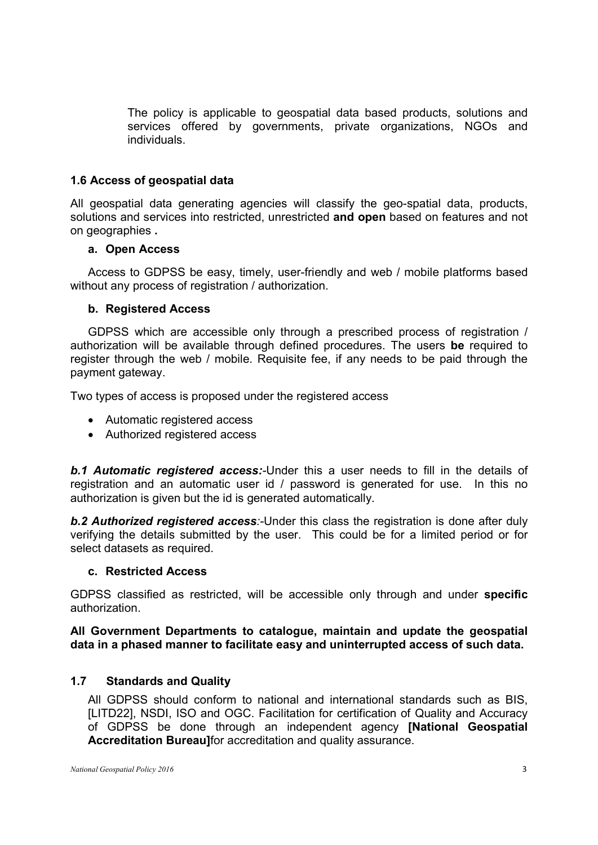The policy is applicable to geospatial data based products, solutions and services offered by governments, private organizations, NGOs and individuals.

# 1.6 Access of geospatial data

All geospatial data generating agencies will classify the geo-spatial data, products, solutions and services into restricted, unrestricted and open based on features and not on geographies .

### a. Open Access

Access to GDPSS be easy, timely, user-friendly and web / mobile platforms based without any process of registration / authorization.

### b. Registered Access

GDPSS which are accessible only through a prescribed process of registration / authorization will be available through defined procedures. The users be required to register through the web / mobile. Requisite fee, if any needs to be paid through the payment gateway.

Two types of access is proposed under the registered access

- Automatic registered access
- Authorized registered access

*b.1 Automatic registered access:-*Under this a user needs to fill in the details of registration and an automatic user id / password is generated for use. In this no authorization is given but the id is generated automatically.

*b.2 Authorized registered access:-*Under this class the registration is done after duly verifying the details submitted by the user. This could be for a limited period or for select datasets as required.

### c. Restricted Access

GDPSS classified as restricted, will be accessible only through and under specific authorization.

All Government Departments to catalogue, maintain and update the geospatial data in a phased manner to facilitate easy and uninterrupted access of such data.

### 1.7 Standards and Quality

All GDPSS should conform to national and international standards such as BIS, [LITD22], NSDI, ISO and OGC. Facilitation for certification of Quality and Accuracy of GDPSS be done through an independent agency [National Geospatial Accreditation Bureau]for accreditation and quality assurance.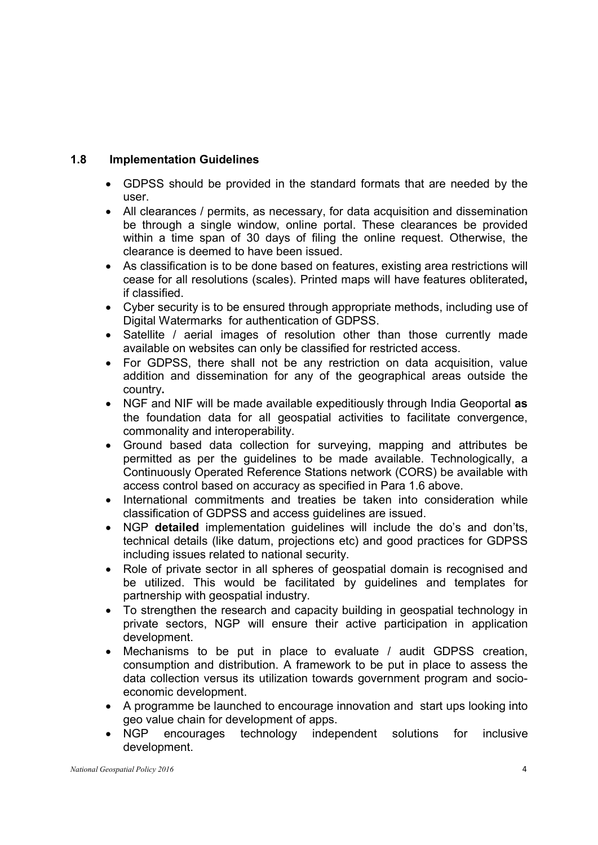# 1.8 Implementation Guidelines

- GDPSS should be provided in the standard formats that are needed by the user.
- All clearances / permits, as necessary, for data acquisition and dissemination be through a single window, online portal. These clearances be provided within a time span of 30 days of filing the online request. Otherwise, the clearance is deemed to have been issued.
- As classification is to be done based on features, existing area restrictions will cease for all resolutions (scales). Printed maps will have features obliterated, if classified.
- Cyber security is to be ensured through appropriate methods, including use of Digital Watermarks for authentication of GDPSS.
- Satellite / aerial images of resolution other than those currently made available on websites can only be classified for restricted access.
- For GDPSS, there shall not be any restriction on data acquisition, value addition and dissemination for any of the geographical areas outside the country.
- NGF and NIF will be made available expeditiously through India Geoportal as the foundation data for all geospatial activities to facilitate convergence, commonality and interoperability.
- Ground based data collection for surveying, mapping and attributes be permitted as per the guidelines to be made available. Technologically, a Continuously Operated Reference Stations network (CORS) be available with access control based on accuracy as specified in Para 1.6 above.
- International commitments and treaties be taken into consideration while classification of GDPSS and access guidelines are issued.
- NGP detailed implementation guidelines will include the do's and don'ts, technical details (like datum, projections etc) and good practices for GDPSS including issues related to national security.
- Role of private sector in all spheres of geospatial domain is recognised and be utilized. This would be facilitated by guidelines and templates for partnership with geospatial industry.
- To strengthen the research and capacity building in geospatial technology in private sectors, NGP will ensure their active participation in application development.
- Mechanisms to be put in place to evaluate / audit GDPSS creation, consumption and distribution. A framework to be put in place to assess the data collection versus its utilization towards government program and socioeconomic development.
- A programme be launched to encourage innovation and start ups looking into geo value chain for development of apps.
- NGP encourages technology independent solutions for inclusive development.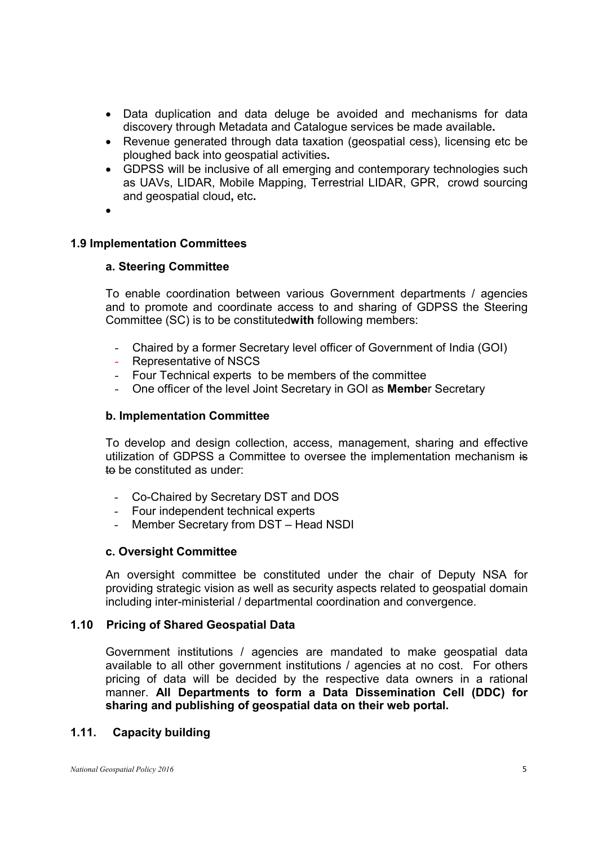- Data duplication and data deluge be avoided and mechanisms for data discovery through Metadata and Catalogue services be made available.
- Revenue generated through data taxation (geospatial cess), licensing etc be ploughed back into geospatial activities.
- GDPSS will be inclusive of all emerging and contemporary technologies such as UAVs, LIDAR, Mobile Mapping, Terrestrial LIDAR, GPR, crowd sourcing and geospatial cloud, etc.
- $\bullet$

### 1.9 Implementation Committees

### a. Steering Committee

To enable coordination between various Government departments / agencies and to promote and coordinate access to and sharing of GDPSS the Steering Committee (SC) is to be constitutedwith following members:

- Chaired by a former Secretary level officer of Government of India (GOI)
- Representative of NSCS
- Four Technical experts to be members of the committee
- One officer of the level Joint Secretary in GOI as Member Secretary

#### b. Implementation Committee

To develop and design collection, access, management, sharing and effective utilization of GDPSS a Committee to oversee the implementation mechanism is to be constituted as under:

- Co-Chaired by Secretary DST and DOS
- Four independent technical experts
- Member Secretary from DST Head NSDI

### c. Oversight Committee

An oversight committee be constituted under the chair of Deputy NSA for providing strategic vision as well as security aspects related to geospatial domain including inter-ministerial / departmental coordination and convergence.

## 1.10 Pricing of Shared Geospatial Data

Government institutions / agencies are mandated to make geospatial data available to all other government institutions / agencies at no cost. For others pricing of data will be decided by the respective data owners in a rational manner. All Departments to form a Data Dissemination Cell (DDC) for sharing and publishing of geospatial data on their web portal.

### 1.11. Capacity building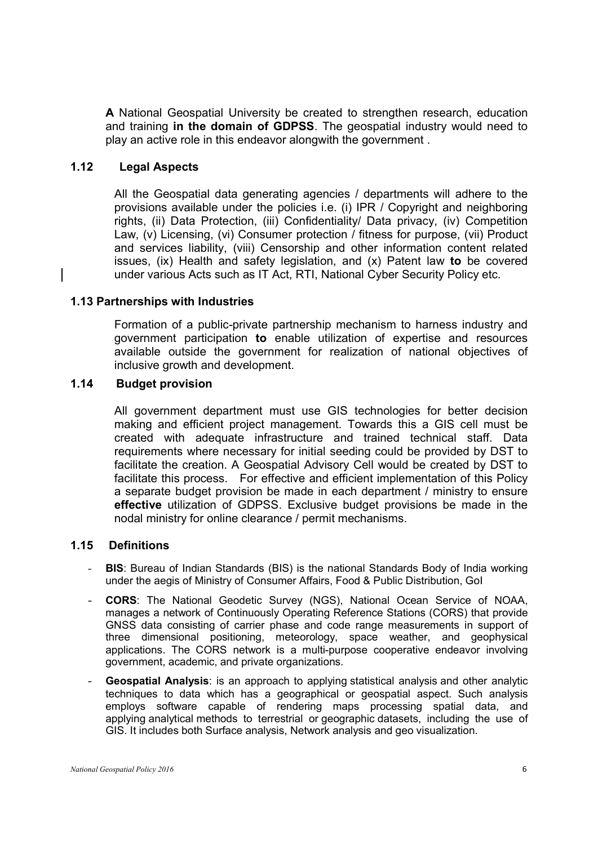A National Geospatial University be created to strengthen research, education and training in the domain of GDPSS. The geospatial industry would need to play an active role in this endeavor alongwith the government .

### 1.12 Legal Aspects

All the Geospatial data generating agencies / departments will adhere to the provisions available under the policies i.e. (i) IPR / Copyright and neighboring rights, (ii) Data Protection, (iii) Confidentiality/ Data privacy, (iv) Competition Law, (v) Licensing, (vi) Consumer protection / fitness for purpose, (vii) Product and services liability, (viii) Censorship and other information content related issues, (ix) Health and safety legislation, and (x) Patent law to be covered under various Acts such as IT Act, RTI, National Cyber Security Policy etc.

## 1.13 Partnerships with Industries

Formation of a public-private partnership mechanism to harness industry and government participation to enable utilization of expertise and resources available outside the government for realization of national objectives of inclusive growth and development.

### 1.14 Budget provision

All government department must use GIS technologies for better decision making and efficient project management. Towards this a GIS cell must be created with adequate infrastructure and trained technical staff. Data requirements where necessary for initial seeding could be provided by DST to facilitate the creation. A Geospatial Advisory Cell would be created by DST to facilitate this process. For effective and efficient implementation of this Policy a separate budget provision be made in each department / ministry to ensure effective utilization of GDPSS. Exclusive budget provisions be made in the nodal ministry for online clearance / permit mechanisms.

### 1.15 Definitions

- **BIS:** Bureau of Indian Standards (BIS) is the national Standards Body of India working under the aegis of Ministry of Consumer Affairs, Food & Public Distribution, GoI
- CORS: The National Geodetic Survey (NGS), National Ocean Service of NOAA, manages a network of Continuously Operating Reference Stations (CORS) that provide GNSS data consisting of carrier phase and code range measurements in support of three dimensional positioning, meteorology, space weather, and geophysical applications. The CORS network is a multi-purpose cooperative endeavor involving government, academic, and private organizations.
- Geospatial Analysis: is an approach to applying statistical analysis and other analytic techniques to data which has a geographical or geospatial aspect. Such analysis employs software capable of rendering maps processing spatial data, and applying analytical methods to terrestrial or geographic datasets, including the use of GIS. It includes both Surface analysis, Network analysis and geo visualization.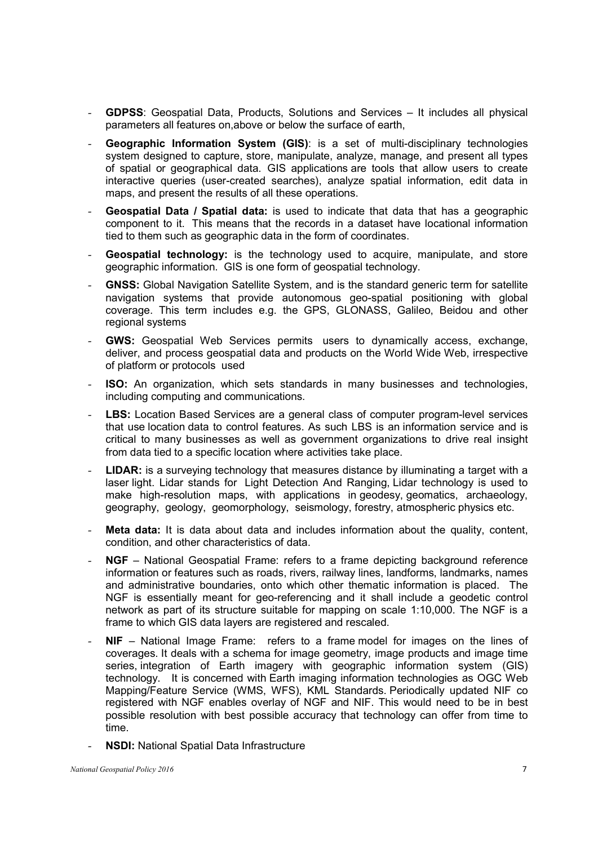- GDPSS: Geospatial Data, Products, Solutions and Services It includes all physical parameters all features on,above or below the surface of earth,
- Geographic Information System (GIS): is a set of multi-disciplinary technologies system designed to capture, store, manipulate, analyze, manage, and present all types of spatial or geographical data. GIS applications are tools that allow users to create interactive queries (user-created searches), analyze spatial information, edit data in maps, and present the results of all these operations.
- Geospatial Data / Spatial data: is used to indicate that data that has a geographic component to it. This means that the records in a dataset have locational information tied to them such as geographic data in the form of coordinates.
- Geospatial technology: is the technology used to acquire, manipulate, and store geographic information. GIS is one form of geospatial technology.
- GNSS: Global Navigation Satellite System, and is the standard generic term for satellite navigation systems that provide autonomous geo-spatial positioning with global coverage. This term includes e.g. the GPS, GLONASS, Galileo, Beidou and other regional systems
- **GWS:** Geospatial Web Services permits users to dynamically access, exchange, deliver, and process geospatial data and products on the World Wide Web, irrespective of platform or protocols used
- ISO: An organization, which sets standards in many businesses and technologies, including computing and communications.
- LBS: Location Based Services are a general class of computer program-level services that use location data to control features. As such LBS is an information service and is critical to many businesses as well as government organizations to drive real insight from data tied to a specific location where activities take place.
- LIDAR: is a surveying technology that measures distance by illuminating a target with a laser light. Lidar stands for Light Detection And Ranging, Lidar technology is used to make high-resolution maps, with applications in geodesy, geomatics, archaeology, geography, geology, geomorphology, seismology, forestry, atmospheric physics etc.
- **Meta data:** It is data about data and includes information about the quality, content, condition, and other characteristics of data.
- $NGF -$  National Geospatial Frame: refers to a frame depicting background reference information or features such as roads, rivers, railway lines, landforms, landmarks, names and administrative boundaries, onto which other thematic information is placed. The NGF is essentially meant for geo-referencing and it shall include a geodetic control network as part of its structure suitable for mapping on scale 1:10,000. The NGF is a frame to which GIS data layers are registered and rescaled.
- $NIF National Image Frame:$  refers to a frame model for images on the lines of coverages. It deals with a schema for image geometry, image products and image time series, integration of Earth imagery with geographic information system (GIS) technology. It is concerned with Earth imaging information technologies as OGC Web Mapping/Feature Service (WMS, WFS), KML Standards. Periodically updated NIF co registered with NGF enables overlay of NGF and NIF. This would need to be in best possible resolution with best possible accuracy that technology can offer from time to time.
- NSDI: National Spatial Data Infrastructure